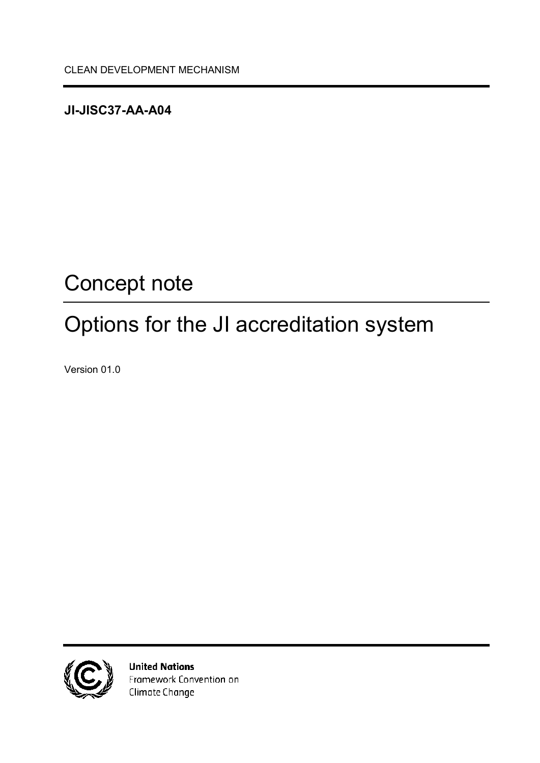# <span id="page-0-0"></span>**JI-JISC37-AA-A04**

# <span id="page-0-1"></span>Concept note

# <span id="page-0-2"></span>Options for the JI accreditation system

<span id="page-0-3"></span>Version 01.0



**United Nations** Framework Convention on Climate Change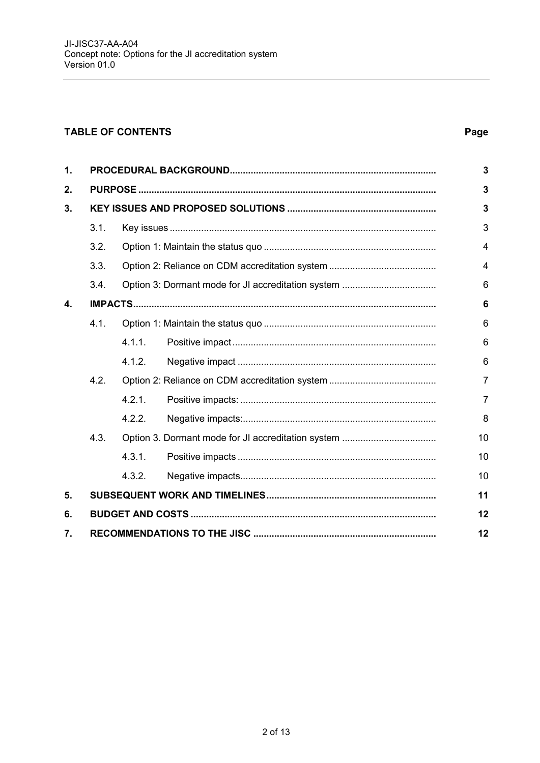# **TABLE OF CONTENTS**

# Page

| 1. |      |        |  |                 |  |  |
|----|------|--------|--|-----------------|--|--|
| 2. |      |        |  |                 |  |  |
| 3. |      |        |  |                 |  |  |
|    | 3.1. |        |  |                 |  |  |
|    | 3.2. |        |  | 4               |  |  |
|    | 3.3. |        |  |                 |  |  |
|    | 3.4. |        |  |                 |  |  |
| 4. |      |        |  |                 |  |  |
|    | 4.1. |        |  | 6               |  |  |
|    |      | 4.1.1. |  | $6\phantom{1}6$ |  |  |
|    |      | 4.1.2. |  | 6               |  |  |
|    | 4.2. |        |  |                 |  |  |
|    |      | 4.2.1. |  | $\overline{7}$  |  |  |
|    |      | 4.2.2. |  | 8               |  |  |
|    | 4.3. |        |  | 10              |  |  |
|    |      | 4.3.1. |  | 10              |  |  |
|    |      | 4.3.2. |  | 10              |  |  |
| 5. |      |        |  | 11              |  |  |
| 6. |      | 12     |  |                 |  |  |
| 7. |      |        |  |                 |  |  |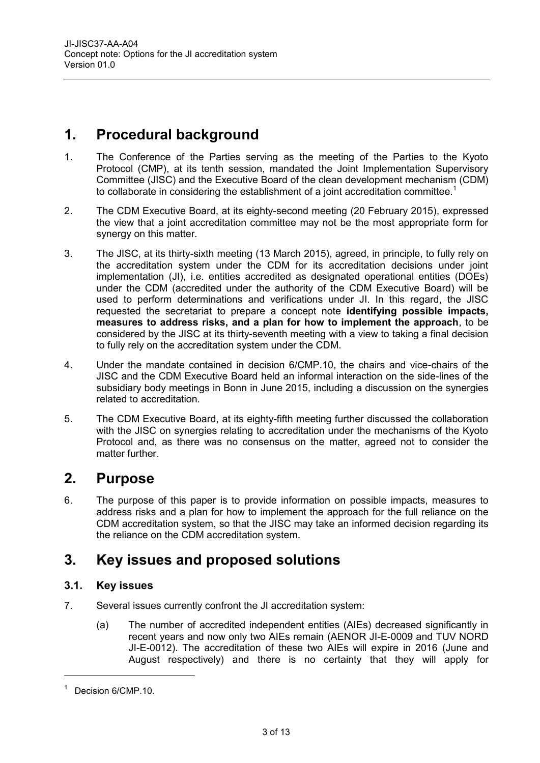# <span id="page-2-0"></span>**1. Procedural background**

- 1. The Conference of the Parties serving as the meeting of the Parties to the Kyoto Protocol (CMP), at its tenth session, mandated the Joint Implementation Supervisory Committee (JISC) and the Executive Board of the clean development mechanism (CDM) to collaborate in considering the establishment of a joint accreditation committee.<sup>1</sup>
- 2. The CDM Executive Board, at its eighty-second meeting (20 February 2015), expressed the view that a joint accreditation committee may not be the most appropriate form for synergy on this matter.
- 3. The JISC, at its thirty-sixth meeting (13 March 2015), agreed, in principle, to fully rely on the accreditation system under the CDM for its accreditation decisions under joint implementation (JI), i.e. entities accredited as designated operational entities (DOEs) under the CDM (accredited under the authority of the CDM Executive Board) will be used to perform determinations and verifications under JI. In this regard, the JISC requested the secretariat to prepare a concept note **identifying possible impacts, measures to address risks, and a plan for how to implement the approach**, to be considered by the JISC at its thirty-seventh meeting with a view to taking a final decision to fully rely on the accreditation system under the CDM.
- 4. Under the mandate contained in decision 6/CMP.10, the chairs and vice-chairs of the JISC and the CDM Executive Board held an informal interaction on the side-lines of the subsidiary body meetings in Bonn in June 2015, including a discussion on the synergies related to accreditation.
- 5. The CDM Executive Board, at its eighty-fifth meeting further discussed the collaboration with the JISC on synergies relating to accreditation under the mechanisms of the Kyoto Protocol and, as there was no consensus on the matter, agreed not to consider the matter further.

# <span id="page-2-1"></span>**2. Purpose**

6. The purpose of this paper is to provide information on possible impacts, measures to address risks and a plan for how to implement the approach for the full reliance on the CDM accreditation system, so that the JISC may take an informed decision regarding its the reliance on the CDM accreditation system.

# <span id="page-2-2"></span>**3. Key issues and proposed solutions**

# <span id="page-2-3"></span>**3.1. Key issues**

- 7. Several issues currently confront the JI accreditation system:
	- (a) The number of accredited independent entities (AIEs) decreased significantly in recent years and now only two AIEs remain (AENOR JI-E-0009 and TUV NORD JI-E-0012). The accreditation of these two AIEs will expire in 2016 (June and August respectively) and there is no certainty that they will apply for

Decision 6/CMP.10.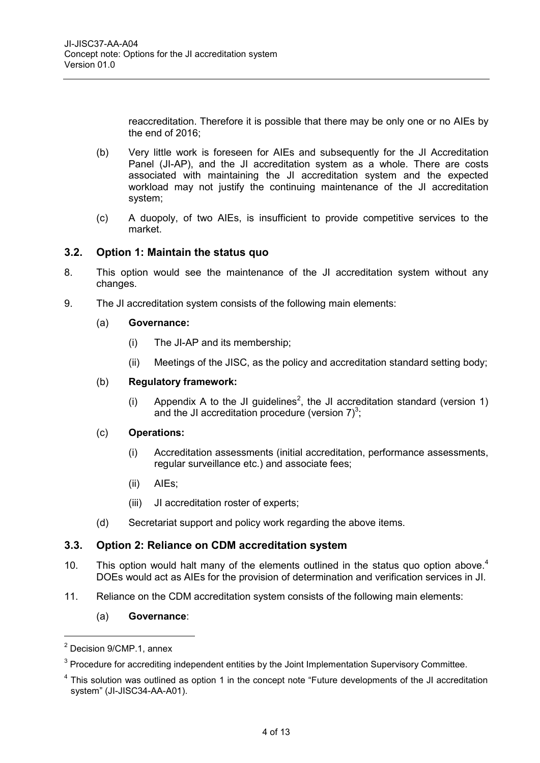reaccreditation. Therefore it is possible that there may be only one or no AIEs by the end of 2016;

- (b) Very little work is foreseen for AIEs and subsequently for the JI Accreditation Panel (JI-AP), and the JI accreditation system as a whole. There are costs associated with maintaining the JI accreditation system and the expected workload may not justify the continuing maintenance of the JI accreditation system;
- (c) A duopoly, of two AIEs, is insufficient to provide competitive services to the market.

## <span id="page-3-0"></span>**3.2. Option 1: Maintain the status quo**

- 8. This option would see the maintenance of the JI accreditation system without any changes.
- 9. The JI accreditation system consists of the following main elements:

## (a) **Governance:**

- (i) The JI-AP and its membership;
- (ii) Meetings of the JISC, as the policy and accreditation standard setting body;

#### (b) **Regulatory framework:**

(i) Appendix A to the JI guidelines<sup>2</sup>, the JI accreditation standard (version 1) and the JI accreditation procedure (version  $7)^3$ ;

#### (c) **Operations:**

- (i) Accreditation assessments (initial accreditation, performance assessments, regular surveillance etc.) and associate fees;
- (ii) AIEs;
- (iii) JI accreditation roster of experts;
- (d) Secretariat support and policy work regarding the above items.

## <span id="page-3-1"></span>**3.3. Option 2: Reliance on CDM accreditation system**

- 10. This option would halt many of the elements outlined in the status quo option above. 4 DOEs would act as AIEs for the provision of determination and verification services in JI.
- 11. Reliance on the CDM accreditation system consists of the following main elements:

## (a) **Governance**:

<sup>2</sup> Decision 9/CMP.1, annex

 $3$  Procedure for accrediting independent entities by the Joint Implementation Supervisory Committee.

<sup>&</sup>lt;sup>4</sup> This solution was outlined as option 1 in the concept note "Future developments of the JI accreditation system" (JI-JISC34-AA-A01).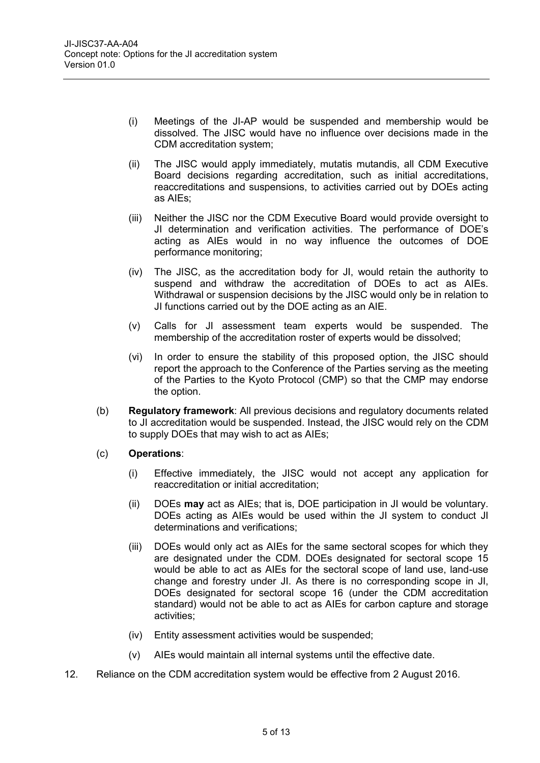- (i) Meetings of the JI-AP would be suspended and membership would be dissolved. The JISC would have no influence over decisions made in the CDM accreditation system;
- (ii) The JISC would apply immediately, mutatis mutandis, all CDM Executive Board decisions regarding accreditation, such as initial accreditations, reaccreditations and suspensions, to activities carried out by DOEs acting as AIEs;
- (iii) Neither the JISC nor the CDM Executive Board would provide oversight to JI determination and verification activities. The performance of DOE's acting as AIEs would in no way influence the outcomes of DOE performance monitoring;
- (iv) The JISC, as the accreditation body for JI, would retain the authority to suspend and withdraw the accreditation of DOEs to act as AIEs. Withdrawal or suspension decisions by the JISC would only be in relation to JI functions carried out by the DOE acting as an AIE.
- (v) Calls for JI assessment team experts would be suspended. The membership of the accreditation roster of experts would be dissolved;
- (vi) In order to ensure the stability of this proposed option, the JISC should report the approach to the Conference of the Parties serving as the meeting of the Parties to the Kyoto Protocol (CMP) so that the CMP may endorse the option.
- (b) **Regulatory framework**: All previous decisions and regulatory documents related to JI accreditation would be suspended. Instead, the JISC would rely on the CDM to supply DOEs that may wish to act as AIEs;
- (c) **Operations**:
	- (i) Effective immediately, the JISC would not accept any application for reaccreditation or initial accreditation;
	- (ii) DOEs **may** act as AIEs; that is, DOE participation in JI would be voluntary. DOEs acting as AIEs would be used within the JI system to conduct JI determinations and verifications;
	- (iii) DOEs would only act as AIEs for the same sectoral scopes for which they are designated under the CDM. DOEs designated for sectoral scope 15 would be able to act as AIEs for the sectoral scope of land use, land-use change and forestry under JI. As there is no corresponding scope in JI, DOEs designated for sectoral scope 16 (under the CDM accreditation standard) would not be able to act as AIEs for carbon capture and storage activities;
	- (iv) Entity assessment activities would be suspended;
	- (v) AIEs would maintain all internal systems until the effective date.
- 12. Reliance on the CDM accreditation system would be effective from 2 August 2016.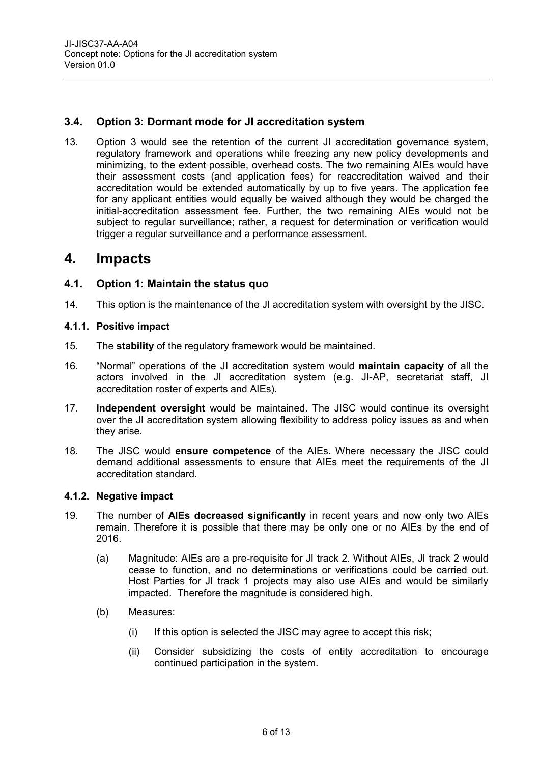# <span id="page-5-0"></span>**3.4. Option 3: Dormant mode for JI accreditation system**

13. Option 3 would see the retention of the current JI accreditation governance system, regulatory framework and operations while freezing any new policy developments and minimizing, to the extent possible, overhead costs. The two remaining AIEs would have their assessment costs (and application fees) for reaccreditation waived and their accreditation would be extended automatically by up to five years. The application fee for any applicant entities would equally be waived although they would be charged the initial-accreditation assessment fee. Further, the two remaining AIEs would not be subject to regular surveillance; rather, a request for determination or verification would trigger a regular surveillance and a performance assessment.

# <span id="page-5-1"></span>**4. Impacts**

## <span id="page-5-2"></span>**4.1. Option 1: Maintain the status quo**

14. This option is the maintenance of the JI accreditation system with oversight by the JISC.

## <span id="page-5-3"></span>**4.1.1. Positive impact**

- 15. The **stability** of the regulatory framework would be maintained.
- 16. "Normal" operations of the JI accreditation system would **maintain capacity** of all the actors involved in the JI accreditation system (e.g. JI-AP, secretariat staff, JI accreditation roster of experts and AIEs).
- 17. **Independent oversight** would be maintained. The JISC would continue its oversight over the JI accreditation system allowing flexibility to address policy issues as and when they arise.
- 18. The JISC would **ensure competence** of the AIEs. Where necessary the JISC could demand additional assessments to ensure that AIEs meet the requirements of the JI accreditation standard.

## <span id="page-5-4"></span>**4.1.2. Negative impact**

- 19. The number of **AIEs decreased significantly** in recent years and now only two AIEs remain. Therefore it is possible that there may be only one or no AIEs by the end of 2016.
	- (a) Magnitude: AIEs are a pre-requisite for JI track 2. Without AIEs, JI track 2 would cease to function, and no determinations or verifications could be carried out. Host Parties for JI track 1 projects may also use AIEs and would be similarly impacted. Therefore the magnitude is considered high.
	- (b) Measures:
		- (i) If this option is selected the JISC may agree to accept this risk;
		- (ii) Consider subsidizing the costs of entity accreditation to encourage continued participation in the system.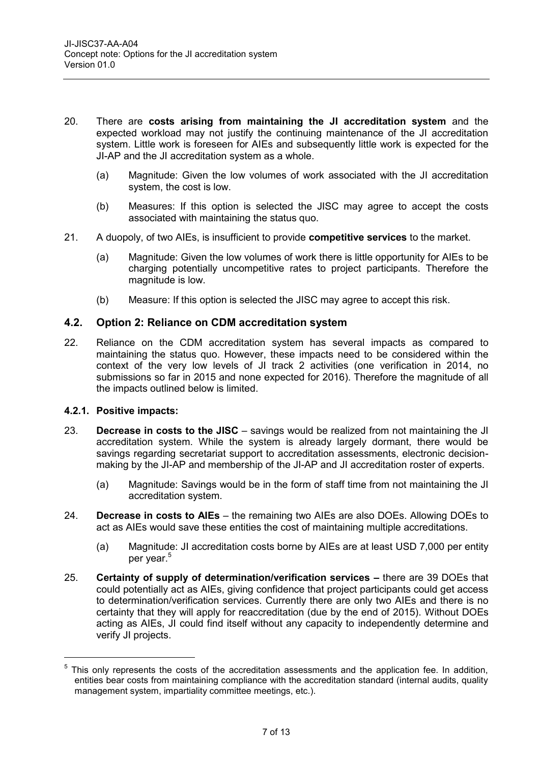- 20. There are **costs arising from maintaining the JI accreditation system** and the expected workload may not justify the continuing maintenance of the JI accreditation system. Little work is foreseen for AIEs and subsequently little work is expected for the JI-AP and the JI accreditation system as a whole.
	- (a) Magnitude: Given the low volumes of work associated with the JI accreditation system, the cost is low.
	- (b) Measures: If this option is selected the JISC may agree to accept the costs associated with maintaining the status quo.
- 21. A duopoly, of two AIEs, is insufficient to provide **competitive services** to the market.
	- (a) Magnitude: Given the low volumes of work there is little opportunity for AIEs to be charging potentially uncompetitive rates to project participants. Therefore the magnitude is low.
	- (b) Measure: If this option is selected the JISC may agree to accept this risk.

## <span id="page-6-0"></span>**4.2. Option 2: Reliance on CDM accreditation system**

22. Reliance on the CDM accreditation system has several impacts as compared to maintaining the status quo. However, these impacts need to be considered within the context of the very low levels of JI track 2 activities (one verification in 2014, no submissions so far in 2015 and none expected for 2016). Therefore the magnitude of all the impacts outlined below is limited.

#### <span id="page-6-1"></span>**4.2.1. Positive impacts:**

 $\overline{a}$ 

- 23. **Decrease in costs to the JISC** savings would be realized from not maintaining the JI accreditation system. While the system is already largely dormant, there would be savings regarding secretariat support to accreditation assessments, electronic decisionmaking by the JI-AP and membership of the JI-AP and JI accreditation roster of experts.
	- (a) Magnitude: Savings would be in the form of staff time from not maintaining the JI accreditation system.
- 24. **Decrease in costs to AIEs** the remaining two AIEs are also DOEs. Allowing DOEs to act as AIEs would save these entities the cost of maintaining multiple accreditations.
	- (a) Magnitude: JI accreditation costs borne by AIEs are at least USD 7,000 per entity per year.<sup>5</sup>
- 25. **Certainty of supply of determination/verification services –** there are 39 DOEs that could potentially act as AIEs, giving confidence that project participants could get access to determination/verification services. Currently there are only two AIEs and there is no certainty that they will apply for reaccreditation (due by the end of 2015). Without DOEs acting as AIEs, JI could find itself without any capacity to independently determine and verify JI projects.

<sup>5</sup> This only represents the costs of the accreditation assessments and the application fee. In addition, entities bear costs from maintaining compliance with the accreditation standard (internal audits, quality management system, impartiality committee meetings, etc.).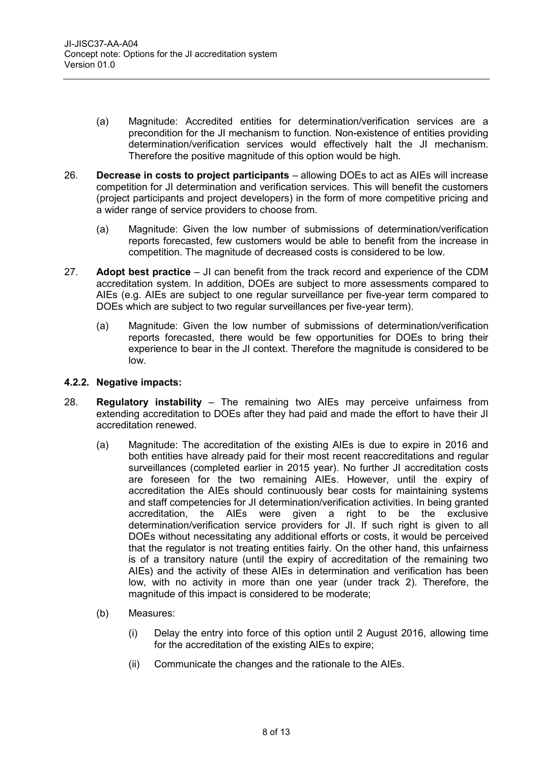- (a) Magnitude: Accredited entities for determination/verification services are a precondition for the JI mechanism to function. Non-existence of entities providing determination/verification services would effectively halt the JI mechanism. Therefore the positive magnitude of this option would be high.
- 26. **Decrease in costs to project participants** allowing DOEs to act as AIEs will increase competition for JI determination and verification services. This will benefit the customers (project participants and project developers) in the form of more competitive pricing and a wider range of service providers to choose from.
	- (a) Magnitude: Given the low number of submissions of determination/verification reports forecasted, few customers would be able to benefit from the increase in competition. The magnitude of decreased costs is considered to be low.
- 27. **Adopt best practice** JI can benefit from the track record and experience of the CDM accreditation system. In addition, DOEs are subject to more assessments compared to AIEs (e.g. AIEs are subject to one regular surveillance per five-year term compared to DOEs which are subject to two regular surveillances per five-year term).
	- (a) Magnitude: Given the low number of submissions of determination/verification reports forecasted, there would be few opportunities for DOEs to bring their experience to bear in the JI context. Therefore the magnitude is considered to be low.

## <span id="page-7-0"></span>**4.2.2. Negative impacts:**

- 28. **Regulatory instability**  The remaining two AIEs may perceive unfairness from extending accreditation to DOEs after they had paid and made the effort to have their JI accreditation renewed.
	- (a) Magnitude: The accreditation of the existing AIEs is due to expire in 2016 and both entities have already paid for their most recent reaccreditations and regular surveillances (completed earlier in 2015 year). No further JI accreditation costs are foreseen for the two remaining AIEs. However, until the expiry of accreditation the AIEs should continuously bear costs for maintaining systems and staff competencies for JI determination/verification activities. In being granted accreditation, the AIEs were given a right to be the exclusive determination/verification service providers for JI. If such right is given to all DOEs without necessitating any additional efforts or costs, it would be perceived that the regulator is not treating entities fairly. On the other hand, this unfairness is of a transitory nature (until the expiry of accreditation of the remaining two AIEs) and the activity of these AIEs in determination and verification has been low, with no activity in more than one year (under track 2). Therefore, the magnitude of this impact is considered to be moderate;
	- (b) Measures:
		- (i) Delay the entry into force of this option until 2 August 2016, allowing time for the accreditation of the existing AIEs to expire;
		- (ii) Communicate the changes and the rationale to the AIEs.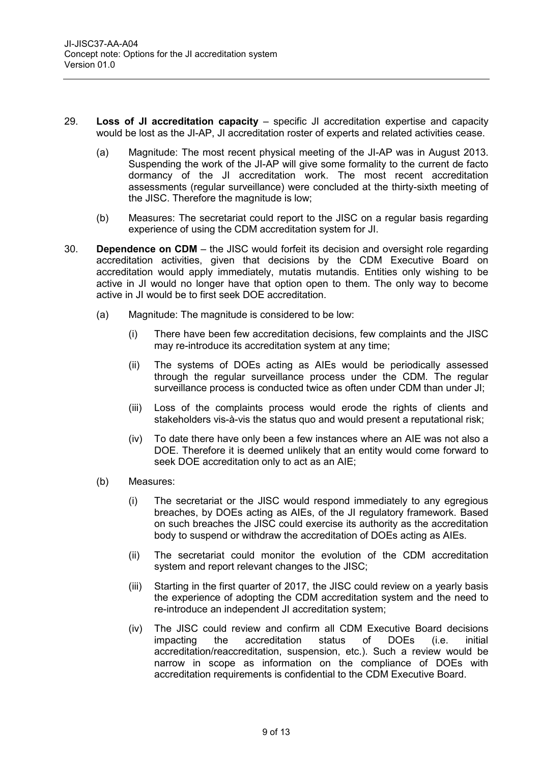- 29. **Loss of JI accreditation capacity** specific JI accreditation expertise and capacity would be lost as the JI-AP, JI accreditation roster of experts and related activities cease.
	- (a) Magnitude: The most recent physical meeting of the JI-AP was in August 2013. Suspending the work of the JI-AP will give some formality to the current de facto dormancy of the JI accreditation work. The most recent accreditation assessments (regular surveillance) were concluded at the thirty-sixth meeting of the JISC. Therefore the magnitude is low;
	- (b) Measures: The secretariat could report to the JISC on a regular basis regarding experience of using the CDM accreditation system for JI.
- 30. **Dependence on CDM**  the JISC would forfeit its decision and oversight role regarding accreditation activities, given that decisions by the CDM Executive Board on accreditation would apply immediately, mutatis mutandis. Entities only wishing to be active in JI would no longer have that option open to them. The only way to become active in JI would be to first seek DOE accreditation.
	- (a) Magnitude: The magnitude is considered to be low:
		- (i) There have been few accreditation decisions, few complaints and the JISC may re-introduce its accreditation system at any time;
		- (ii) The systems of DOEs acting as AIEs would be periodically assessed through the regular surveillance process under the CDM. The regular surveillance process is conducted twice as often under CDM than under JI;
		- (iii) Loss of the complaints process would erode the rights of clients and stakeholders vis-à-vis the status quo and would present a reputational risk;
		- (iv) To date there have only been a few instances where an AIE was not also a DOE. Therefore it is deemed unlikely that an entity would come forward to seek DOE accreditation only to act as an AIE;
	- (b) Measures:
		- (i) The secretariat or the JISC would respond immediately to any egregious breaches, by DOEs acting as AIEs, of the JI regulatory framework. Based on such breaches the JISC could exercise its authority as the accreditation body to suspend or withdraw the accreditation of DOEs acting as AIEs.
		- (ii) The secretariat could monitor the evolution of the CDM accreditation system and report relevant changes to the JISC;
		- (iii) Starting in the first quarter of 2017, the JISC could review on a yearly basis the experience of adopting the CDM accreditation system and the need to re-introduce an independent JI accreditation system;
		- (iv) The JISC could review and confirm all CDM Executive Board decisions impacting the accreditation status of DOEs (i.e. initial accreditation/reaccreditation, suspension, etc.). Such a review would be narrow in scope as information on the compliance of DOEs with accreditation requirements is confidential to the CDM Executive Board.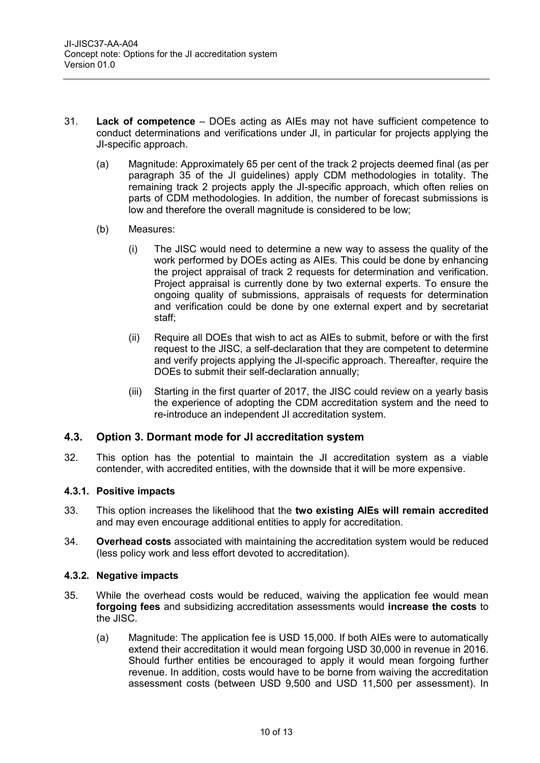- 31. **Lack of competence**  DOEs acting as AIEs may not have sufficient competence to conduct determinations and verifications under JI, in particular for projects applying the JI-specific approach.
	- (a) Magnitude: Approximately 65 per cent of the track 2 projects deemed final (as per paragraph 35 of the JI guidelines) apply CDM methodologies in totality. The remaining track 2 projects apply the JI-specific approach, which often relies on parts of CDM methodologies. In addition, the number of forecast submissions is low and therefore the overall magnitude is considered to be low;
	- (b) Measures:
		- (i) The JISC would need to determine a new way to assess the quality of the work performed by DOEs acting as AIEs. This could be done by enhancing the project appraisal of track 2 requests for determination and verification. Project appraisal is currently done by two external experts. To ensure the ongoing quality of submissions, appraisals of requests for determination and verification could be done by one external expert and by secretariat staff;
		- (ii) Require all DOEs that wish to act as AIEs to submit, before or with the first request to the JISC, a self-declaration that they are competent to determine and verify projects applying the JI-specific approach. Thereafter, require the DOEs to submit their self-declaration annually;
		- (iii) Starting in the first quarter of 2017, the JISC could review on a yearly basis the experience of adopting the CDM accreditation system and the need to re-introduce an independent JI accreditation system.

## <span id="page-9-0"></span>**4.3. Option 3. Dormant mode for JI accreditation system**

32. This option has the potential to maintain the JI accreditation system as a viable contender, with accredited entities, with the downside that it will be more expensive.

#### <span id="page-9-1"></span>**4.3.1. Positive impacts**

- 33. This option increases the likelihood that the **two existing AIEs will remain accredited** and may even encourage additional entities to apply for accreditation.
- 34. **Overhead costs** associated with maintaining the accreditation system would be reduced (less policy work and less effort devoted to accreditation).

#### <span id="page-9-2"></span>**4.3.2. Negative impacts**

- 35. While the overhead costs would be reduced, waiving the application fee would mean **forgoing fees** and subsidizing accreditation assessments would **increase the costs** to the JISC.
	- (a) Magnitude: The application fee is USD 15,000. If both AIEs were to automatically extend their accreditation it would mean forgoing USD 30,000 in revenue in 2016. Should further entities be encouraged to apply it would mean forgoing further revenue. In addition, costs would have to be borne from waiving the accreditation assessment costs (between USD 9,500 and USD 11,500 per assessment). In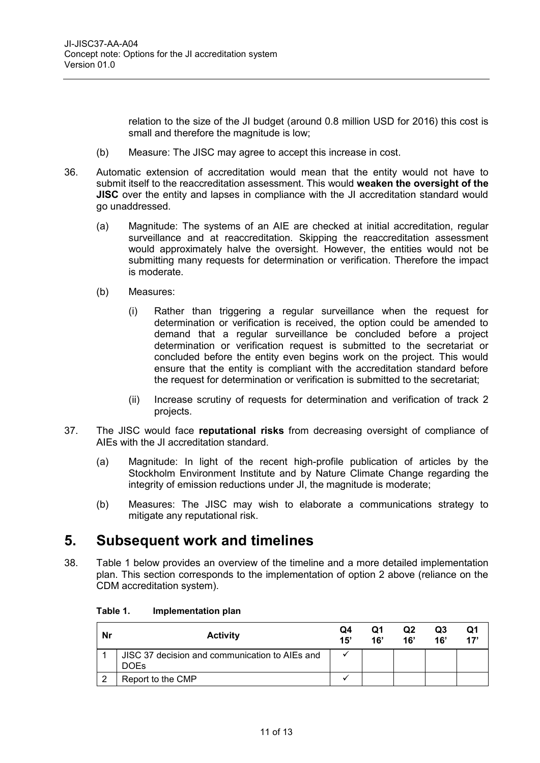relation to the size of the JI budget (around 0.8 million USD for 2016) this cost is small and therefore the magnitude is low;

- (b) Measure: The JISC may agree to accept this increase in cost.
- 36. Automatic extension of accreditation would mean that the entity would not have to submit itself to the reaccreditation assessment. This would **weaken the oversight of the JISC** over the entity and lapses in compliance with the JI accreditation standard would go unaddressed.
	- (a) Magnitude: The systems of an AIE are checked at initial accreditation, regular surveillance and at reaccreditation. Skipping the reaccreditation assessment would approximately halve the oversight. However, the entities would not be submitting many requests for determination or verification. Therefore the impact is moderate.
	- (b) Measures:
		- (i) Rather than triggering a regular surveillance when the request for determination or verification is received, the option could be amended to demand that a regular surveillance be concluded before a project determination or verification request is submitted to the secretariat or concluded before the entity even begins work on the project. This would ensure that the entity is compliant with the accreditation standard before the request for determination or verification is submitted to the secretariat;
		- (ii) Increase scrutiny of requests for determination and verification of track 2 projects.
- 37. The JISC would face **reputational risks** from decreasing oversight of compliance of AIEs with the JI accreditation standard.
	- (a) Magnitude: In light of the recent high-profile publication of articles by the Stockholm Environment Institute and by Nature Climate Change regarding the integrity of emission reductions under JI, the magnitude is moderate;
	- (b) Measures: The JISC may wish to elaborate a communications strategy to mitigate any reputational risk.

# <span id="page-10-0"></span>**5. Subsequent work and timelines**

38. Table 1 below provides an overview of the timeline and a more detailed implementation plan. This section corresponds to the implementation of option 2 above (reliance on the CDM accreditation system).

| Nr | <b>Activity</b>                                               | Q4<br>15' | Q1<br>16' | Q <sub>2</sub><br>16' | Q3<br>16' | Q1<br>17' |
|----|---------------------------------------------------------------|-----------|-----------|-----------------------|-----------|-----------|
|    | JISC 37 decision and communication to AIEs and<br><b>DOEs</b> |           |           |                       |           |           |
| ົ  | Report to the CMP                                             |           |           |                       |           |           |

#### **Table 1. Implementation plan**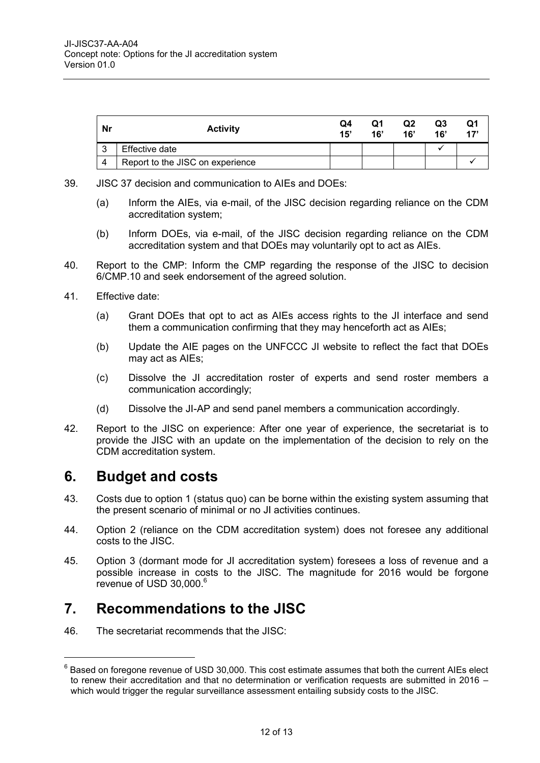| Nr | <b>Activity</b>                  | Q4<br>15' | Q1<br>16' | Q2<br>16' | Q3<br>16' | Q1<br>17' |
|----|----------------------------------|-----------|-----------|-----------|-----------|-----------|
| ົ  | Effective date                   |           |           |           |           |           |
| 4  | Report to the JISC on experience |           |           |           |           |           |

- 39. JISC 37 decision and communication to AIEs and DOEs:
	- (a) Inform the AIEs, via e-mail, of the JISC decision regarding reliance on the CDM accreditation system;
	- (b) Inform DOEs, via e-mail, of the JISC decision regarding reliance on the CDM accreditation system and that DOEs may voluntarily opt to act as AIEs.
- 40. Report to the CMP: Inform the CMP regarding the response of the JISC to decision 6/CMP.10 and seek endorsement of the agreed solution.
- 41. Effective date:
	- (a) Grant DOEs that opt to act as AIEs access rights to the JI interface and send them a communication confirming that they may henceforth act as AIEs;
	- (b) Update the AIE pages on the UNFCCC JI website to reflect the fact that DOEs may act as AIEs;
	- (c) Dissolve the JI accreditation roster of experts and send roster members a communication accordingly;
	- (d) Dissolve the JI-AP and send panel members a communication accordingly.
- 42. Report to the JISC on experience: After one year of experience, the secretariat is to provide the JISC with an update on the implementation of the decision to rely on the CDM accreditation system.

# <span id="page-11-0"></span>**6. Budget and costs**

 $\overline{a}$ 

- 43. Costs due to option 1 (status quo) can be borne within the existing system assuming that the present scenario of minimal or no JI activities continues.
- 44. Option 2 (reliance on the CDM accreditation system) does not foresee any additional costs to the JISC.
- 45. Option 3 (dormant mode for JI accreditation system) foresees a loss of revenue and a possible increase in costs to the JISC. The magnitude for 2016 would be forgone revenue of USD 30,000.<sup>6</sup>

# <span id="page-11-1"></span>**7. Recommendations to the JISC**

46. The secretariat recommends that the JISC:

 $^6$  Based on foregone revenue of USD 30,000. This cost estimate assumes that both the current AIEs elect to renew their accreditation and that no determination or verification requests are submitted in 2016 – which would trigger the regular surveillance assessment entailing subsidy costs to the JISC.